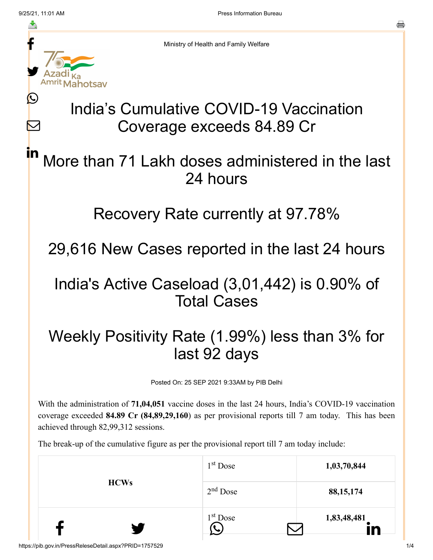Ŀ

 $\bm{\nabla}$ 



Ministry of Health and Family Welfare

# India's Cumulative COVID-19 Vaccination Coverage exceeds 84.89 Cr

#### More than 71 Lakh doses administered in the last 24 hours in

#### Recovery Rate currently at 97.78%

### 29,616 New Cases reported in the last 24 hours

#### India's Active Caseload (3,01,442) is 0.90% of Total Cases

## Weekly Positivity Rate (1.99%) less than 3% for last 92 days

Posted On: 25 SEP 2021 9:33AM by PIB Delhi

With the administration of **71,04,051** vaccine doses in the last 24 hours, India's COVID-19 vaccination coverage exceeded **84.89 Cr (84,89,29,160**) as per provisional reports till 7 am today. This has been achieved through 82,99,312 sessions.

The break-up of the cumulative figure as per the provisional report till 7 am today include:

| <b>HCWs</b> | $1st$ Dose           | 1,03,70,844 |
|-------------|----------------------|-------------|
|             | $2nd$ Dose           | 88, 15, 174 |
|             | 1 <sup>st</sup> Dose | 1,83,48,481 |

a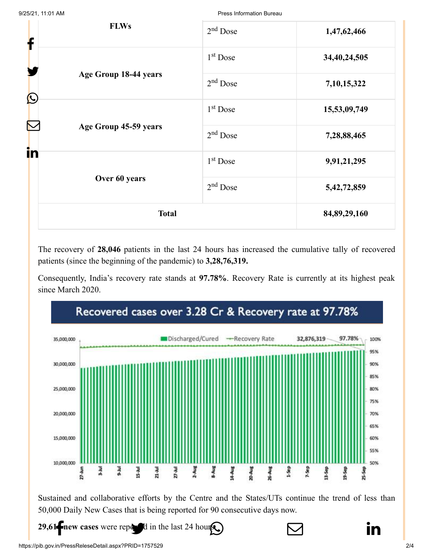| <b>FLWs</b><br>f | $2nd$ Dose                          | 1,47,62,466          |                 |
|------------------|-------------------------------------|----------------------|-----------------|
|                  | $1st$ Dose                          | 34,40,24,505         |                 |
|                  | Age Group 18-44 years<br>$\bigcirc$ | $2nd$ Dose           | 7,10,15,322     |
|                  |                                     | 1 <sup>st</sup> Dose | 15,53,09,749    |
|                  | Age Group 45-59 years               | $2nd$ Dose           | 7,28,88,465     |
| in               | $1st$ Dose                          | 9,91,21,295          |                 |
|                  | Over 60 years                       | $2nd$ Dose           | 5,42,72,859     |
|                  | <b>Total</b>                        |                      | 84, 89, 29, 160 |

The recovery of **28,046** patients in the last 24 hours has increased the cumulative tally of recovered patients (since the beginning of the pandemic) to **3,28,76,319.**

Consequently, India's recovery rate stands at **97.78%**. Recovery Rate is currently at its highest peak since March 2020.



Sustained and collaborative efforts by the Centre and the States/UTs continue the trend of less than 50,000 Daily New Cases that is being reported for 90 consecutive days now.

**29,61 Finew cases** [were reported in the la](https://twitter.com/intent/tweet?url=https://pib.gov.in/PressReleasePage.aspx?PRID=1757921&text=India%E2%80%99s%20Cumulative%20COVID-19%20Vaccination%20Coverage%20exceeds%2084.89%20Cr)[st 24 hours.](https://api.whatsapp.com/send?text=https://pib.gov.in/PressReleasePage.aspx?PRID=1757921)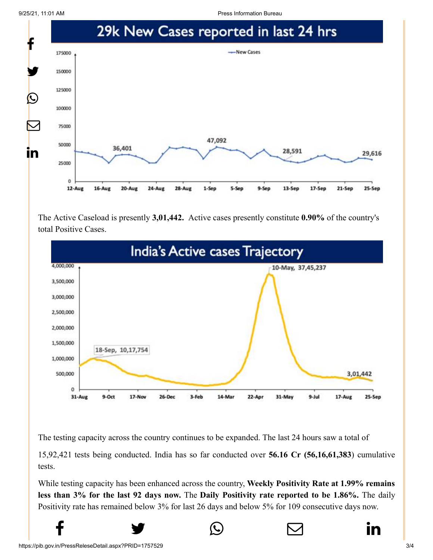9/25/21, 11:01 AM Press Information Bureau



The Active Caseload is presently **3,01,442.** Active cases presently constitute **0.90%** of the country's total Positive Cases.



The testing capacity across the country continues to be expanded. The last 24 hours saw a total of

15,92,421 tests being conducted. India has so far conducted over **56.16 Cr (56,16,61,383**) cumulative tests.

While testing capacity has been enhanced across the country, **Weekly Positivity Rate at 1.99% remains less than 3% for the last 92 days now.** The **Daily Positivity rate reported to be 1.86%.** The daily Positivity rate has remained below 3% for last 26 days and below 5% for 109 consecutive days now.

 $f$   $\rightarrow$   $\circ$   $\quad \circ$  in